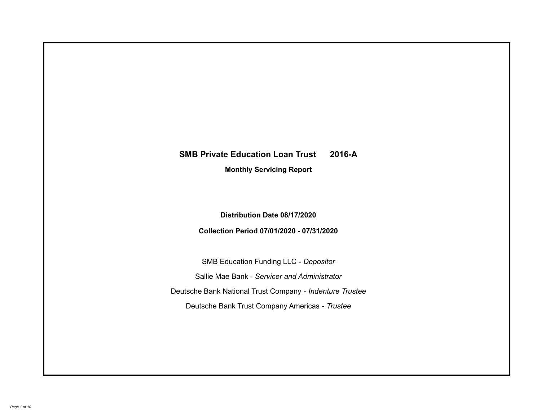# **SMB Private Education Loan Trust 2016-A Monthly Servicing Report**

**Distribution Date 08/17/2020**

**Collection Period 07/01/2020 - 07/31/2020**

SMB Education Funding LLC - *Depositor* Sallie Mae Bank - *Servicer and Administrator* Deutsche Bank National Trust Company - *Indenture Trustee* Deutsche Bank Trust Company Americas - *Trustee*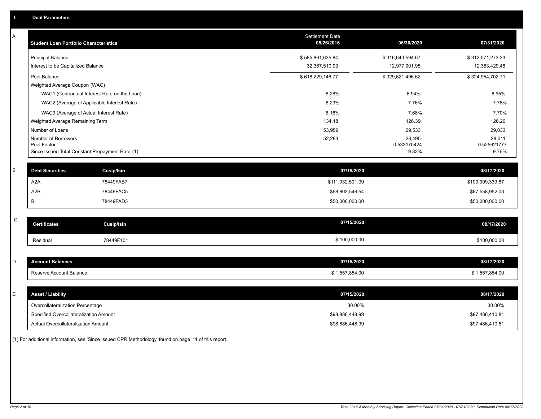| Α | <b>Student Loan Portfolio Characteristics</b>                  |                                              | <b>Settlement Date</b><br>05/26/2016 | 06/30/2020           | 07/31/2020           |
|---|----------------------------------------------------------------|----------------------------------------------|--------------------------------------|----------------------|----------------------|
|   | <b>Principal Balance</b>                                       |                                              | \$585,861,635.84                     | \$316,643,594.67     | \$312,571,273.23     |
|   | Interest to be Capitalized Balance                             |                                              | 32,367,510.93                        | 12,977,901.95        | 12,383,429.48        |
|   | Pool Balance                                                   |                                              | \$618,229,146.77                     | \$329,621,496.62     | \$324,954,702.71     |
|   | Weighted Average Coupon (WAC)                                  |                                              |                                      |                      |                      |
|   |                                                                | WAC1 (Contractual Interest Rate on the Loan) | 8.26%                                | 8.94%                | 8.95%                |
|   |                                                                | WAC2 (Average of Applicable Interest Rate)   | 8.23%                                | 7.76%                | 7.78%                |
|   | WAC3 (Average of Actual Interest Rate)                         |                                              | 8.16%                                | 7.68%                | 7.70%                |
|   | Weighted Average Remaining Term                                |                                              | 134.18                               | 126.39               | 126.26               |
|   | Number of Loans                                                |                                              | 53,959                               | 29,533               | 29,033               |
|   | Number of Borrowers                                            |                                              | 52,283                               | 28,495               | 28,011               |
|   | Pool Factor<br>Since Issued Total Constant Prepayment Rate (1) |                                              |                                      | 0.533170424<br>9.83% | 0.525621777<br>9.76% |
|   |                                                                |                                              |                                      |                      |                      |
| B | <b>Debt Securities</b>                                         | <b>Cusip/Isin</b>                            | 07/15/2020                           |                      | 08/17/2020           |
|   | A <sub>2</sub> A                                               | 78449FAB7                                    | \$111,932,501.09                     |                      | \$109,909,339.87     |
|   | A2B                                                            | 78449FAC5                                    | \$68,802,546.54                      |                      | \$67,558,952.03      |
|   | B                                                              | 78449FAD3                                    | \$50,000,000.00                      |                      | \$50,000,000.00      |
|   |                                                                |                                              |                                      |                      |                      |
| C | <b>Certificates</b>                                            | Cusip/Isin                                   | 07/15/2020                           |                      | 08/17/2020           |
|   | Residual                                                       | 78449F101                                    | \$100,000.00                         |                      | \$100,000.00         |
|   |                                                                |                                              |                                      |                      |                      |
| D | <b>Account Balances</b>                                        |                                              | 07/15/2020                           |                      | 08/17/2020           |
|   | Reserve Account Balance                                        |                                              | \$1,557,854.00                       |                      | \$1,557,854.00       |
|   |                                                                |                                              |                                      |                      |                      |
| E | <b>Asset / Liability</b>                                       |                                              | 07/15/2020                           |                      | 08/17/2020           |
|   | Overcollateralization Percentage                               |                                              | 30.00%                               |                      | 30.00%               |
|   | Specified Overcollateralization Amount                         |                                              | \$98,886,448.99                      |                      | \$97,486,410.81      |
|   | Actual Overcollateralization Amount                            |                                              | \$98,886,448.99                      |                      | \$97,486,410.81      |

(1) For additional information, see 'Since Issued CPR Methodology' found on page 11 of this report.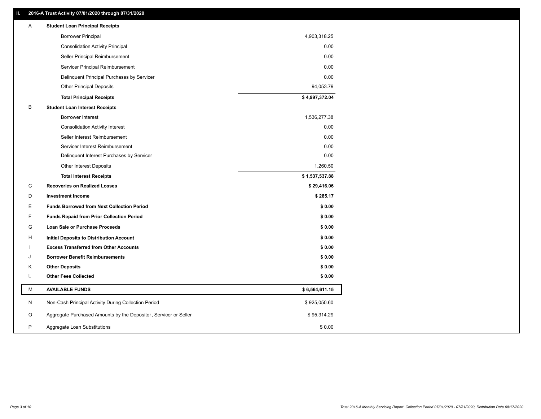## **II. 2016-A Trust Activity 07/01/2020 through 07/31/2020**

| Α  | <b>Student Loan Principal Receipts</b>                           |                |  |
|----|------------------------------------------------------------------|----------------|--|
|    | <b>Borrower Principal</b>                                        | 4,903,318.25   |  |
|    | <b>Consolidation Activity Principal</b>                          | 0.00           |  |
|    | Seller Principal Reimbursement                                   | 0.00           |  |
|    | Servicer Principal Reimbursement                                 | 0.00           |  |
|    | Delinquent Principal Purchases by Servicer                       | 0.00           |  |
|    | <b>Other Principal Deposits</b>                                  | 94,053.79      |  |
|    | <b>Total Principal Receipts</b>                                  | \$4,997,372.04 |  |
| B  | <b>Student Loan Interest Receipts</b>                            |                |  |
|    | <b>Borrower Interest</b>                                         | 1,536,277.38   |  |
|    | <b>Consolidation Activity Interest</b>                           | 0.00           |  |
|    | Seller Interest Reimbursement                                    | 0.00           |  |
|    | Servicer Interest Reimbursement                                  | 0.00           |  |
|    | Delinquent Interest Purchases by Servicer                        | 0.00           |  |
|    | Other Interest Deposits                                          | 1,260.50       |  |
|    | <b>Total Interest Receipts</b>                                   | \$1,537,537.88 |  |
| C  | <b>Recoveries on Realized Losses</b>                             | \$29,416.06    |  |
| D  | <b>Investment Income</b>                                         | \$285.17       |  |
| Е  | <b>Funds Borrowed from Next Collection Period</b>                | \$0.00         |  |
| F  | <b>Funds Repaid from Prior Collection Period</b>                 | \$0.00         |  |
| G  | <b>Loan Sale or Purchase Proceeds</b>                            | \$0.00         |  |
| H  | Initial Deposits to Distribution Account                         | \$0.00         |  |
|    | <b>Excess Transferred from Other Accounts</b>                    | \$0.00         |  |
| J  | <b>Borrower Benefit Reimbursements</b>                           | \$0.00         |  |
| Κ  | <b>Other Deposits</b>                                            | \$0.00         |  |
| L. | <b>Other Fees Collected</b>                                      | \$0.00         |  |
| М  | <b>AVAILABLE FUNDS</b>                                           | \$6,564,611.15 |  |
| N  | Non-Cash Principal Activity During Collection Period             | \$925,050.60   |  |
| O  | Aggregate Purchased Amounts by the Depositor, Servicer or Seller | \$95,314.29    |  |
| P  | Aggregate Loan Substitutions                                     | \$0.00         |  |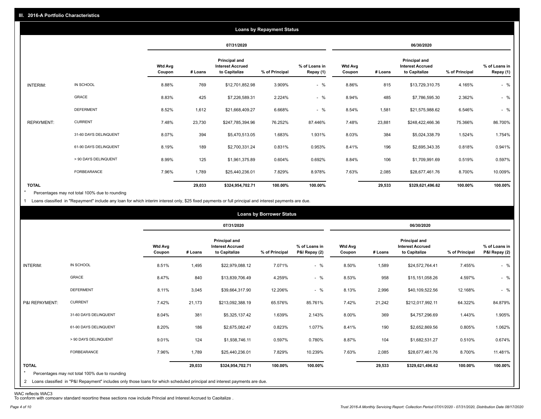| <b>Loans by Repayment Status</b> |                       |                          |            |                                                           |                |                            |                          |         |                                                           |                |                            |
|----------------------------------|-----------------------|--------------------------|------------|-----------------------------------------------------------|----------------|----------------------------|--------------------------|---------|-----------------------------------------------------------|----------------|----------------------------|
|                                  |                       |                          | 07/31/2020 |                                                           |                | 06/30/2020                 |                          |         |                                                           |                |                            |
|                                  |                       | <b>Wtd Avg</b><br>Coupon | # Loans    | Principal and<br><b>Interest Accrued</b><br>to Capitalize | % of Principal | % of Loans in<br>Repay (1) | <b>Wtd Avg</b><br>Coupon | # Loans | Principal and<br><b>Interest Accrued</b><br>to Capitalize | % of Principal | % of Loans in<br>Repay (1) |
| INTERIM:                         | IN SCHOOL             | 8.88%                    | 769        | \$12,701,852.98                                           | 3.909%         | $-$ %                      | 8.86%                    | 815     | \$13,729,310.75                                           | 4.165%         | $-$ %                      |
|                                  | GRACE                 | 8.83%                    | 425        | \$7,226,589.31                                            | 2.224%         | $-$ %                      | 8.94%                    | 485     | \$7,786,595.30                                            | 2.362%         | $-$ %                      |
|                                  | <b>DEFERMENT</b>      | 8.52%                    | 1,612      | \$21,668,409.27                                           | 6.668%         | $-$ %                      | 8.54%                    | 1,581   | \$21,575,988.62                                           | 6.546%         | $-$ %                      |
| <b>REPAYMENT:</b>                | <b>CURRENT</b>        | 7.48%                    | 23,730     | \$247,785,394.96                                          | 76.252%        | 87.446%                    | 7.48%                    | 23,881  | \$248,422,466.36                                          | 75.366%        | 86.700%                    |
|                                  | 31-60 DAYS DELINQUENT | 8.07%                    | 394        | \$5,470,513.05                                            | 1.683%         | 1.931%                     | 8.03%                    | 384     | \$5,024,338.79                                            | 1.524%         | 1.754%                     |
|                                  | 61-90 DAYS DELINQUENT | 8.19%                    | 189        | \$2,700,331.24                                            | 0.831%         | 0.953%                     | 8.41%                    | 196     | \$2,695,343.35                                            | 0.818%         | 0.941%                     |
|                                  | > 90 DAYS DELINQUENT  | 8.99%                    | 125        | \$1,961,375.89                                            | 0.604%         | 0.692%                     | 8.84%                    | 106     | \$1,709,991.69                                            | 0.519%         | 0.597%                     |
|                                  | <b>FORBEARANCE</b>    | 7.96%                    | 1,789      | \$25,440,236.01                                           | 7.829%         | 8.978%                     | 7.63%                    | 2,085   | \$28,677,461.76                                           | 8.700%         | 10.009%                    |
| <b>TOTAL</b>                     |                       |                          | 29,033     | \$324,954,702.71                                          | 100.00%        | 100.00%                    |                          | 29,533  | \$329,621,496.62                                          | 100.00%        | 100.00%                    |

Percentages may not total 100% due to rounding \*

1 Loans classified in "Repayment" include any loan for which interim interest only, \$25 fixed payments or full principal and interest payments are due.

|                         | <b>Loans by Borrower Status</b>                                                                                              |                          |            |                                                           |                |                                |                          |         |                                                           |                |                                |
|-------------------------|------------------------------------------------------------------------------------------------------------------------------|--------------------------|------------|-----------------------------------------------------------|----------------|--------------------------------|--------------------------|---------|-----------------------------------------------------------|----------------|--------------------------------|
|                         |                                                                                                                              |                          | 07/31/2020 |                                                           |                |                                | 06/30/2020               |         |                                                           |                |                                |
|                         |                                                                                                                              | <b>Wtd Avg</b><br>Coupon | # Loans    | Principal and<br><b>Interest Accrued</b><br>to Capitalize | % of Principal | % of Loans in<br>P&I Repay (2) | <b>Wtd Avg</b><br>Coupon | # Loans | Principal and<br><b>Interest Accrued</b><br>to Capitalize | % of Principal | % of Loans in<br>P&I Repay (2) |
| INTERIM:                | IN SCHOOL                                                                                                                    | 8.51%                    | 1,495      | \$22,979,088.12                                           | 7.071%         | $-$ %                          | 8.50%                    | 1,589   | \$24,572,764.41                                           | 7.455%         | $-$ %                          |
|                         | GRACE                                                                                                                        | 8.47%                    | 840        | \$13,839,706.49                                           | 4.259%         | $-$ %                          | 8.53%                    | 958     | \$15,151,058.26                                           | 4.597%         | $-$ %                          |
|                         | <b>DEFERMENT</b>                                                                                                             | 8.11%                    | 3,045      | \$39,664,317.90                                           | 12.206%        | $-$ %                          | 8.13%                    | 2,996   | \$40,109,522.56                                           | 12.168%        | $-$ %                          |
| P&I REPAYMENT:          | <b>CURRENT</b>                                                                                                               | 7.42%                    | 21,173     | \$213,092,388.19                                          | 65.576%        | 85.761%                        | 7.42%                    | 21,242  | \$212,017,992.11                                          | 64.322%        | 84.879%                        |
|                         | 31-60 DAYS DELINQUENT                                                                                                        | 8.04%                    | 381        | \$5,325,137.42                                            | 1.639%         | 2.143%                         | 8.00%                    | 369     | \$4,757,296.69                                            | 1.443%         | 1.905%                         |
|                         | 61-90 DAYS DELINQUENT                                                                                                        | 8.20%                    | 186        | \$2,675,082.47                                            | 0.823%         | 1.077%                         | 8.41%                    | 190     | \$2,652,869.56                                            | 0.805%         | 1.062%                         |
|                         | > 90 DAYS DELINQUENT                                                                                                         | 9.01%                    | 124        | \$1,938,746.11                                            | 0.597%         | 0.780%                         | 8.87%                    | 104     | \$1,682,531.27                                            | 0.510%         | 0.674%                         |
|                         | FORBEARANCE                                                                                                                  | 7.96%                    | 1,789      | \$25,440,236.01                                           | 7.829%         | 10.239%                        | 7.63%                    | 2,085   | \$28,677,461.76                                           | 8.700%         | 11.481%                        |
| <b>TOTAL</b><br>$\star$ | Percentages may not total 100% due to rounding                                                                               |                          | 29,033     | \$324,954,702.71                                          | 100.00%        | 100.00%                        |                          | 29,533  | \$329,621,496.62                                          | 100.00%        | 100.00%                        |
|                         | 2 Loans classified in "P&I Repayment" includes only those loans for which scheduled principal and interest payments are due. |                          |            |                                                           |                |                                |                          |         |                                                           |                |                                |

WAC reflects WAC3 To conform with company standard reporting these sections now include Princial and Interest Accrued to Capitalize .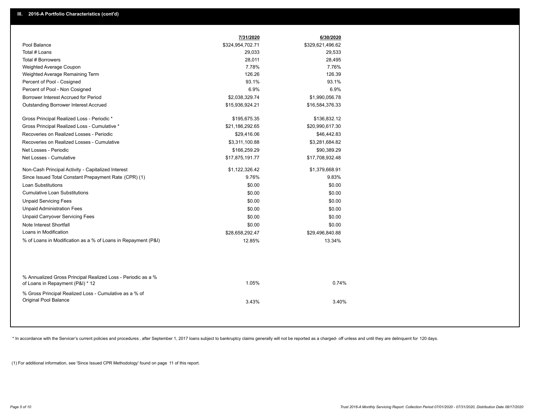|                                                                                                  | 7/31/2020        | 6/30/2020        |  |
|--------------------------------------------------------------------------------------------------|------------------|------------------|--|
| Pool Balance                                                                                     | \$324,954,702.71 | \$329,621,496.62 |  |
| Total # Loans                                                                                    | 29,033           | 29,533           |  |
| Total # Borrowers                                                                                | 28,011           | 28,495           |  |
| Weighted Average Coupon                                                                          | 7.78%            | 7.76%            |  |
| Weighted Average Remaining Term                                                                  | 126.26           | 126.39           |  |
| Percent of Pool - Cosigned                                                                       | 93.1%            | 93.1%            |  |
| Percent of Pool - Non Cosigned                                                                   | 6.9%             | 6.9%             |  |
| Borrower Interest Accrued for Period                                                             | \$2,038,329.74   | \$1,990,056.78   |  |
| Outstanding Borrower Interest Accrued                                                            | \$15,936,924.21  | \$16,584,376.33  |  |
| Gross Principal Realized Loss - Periodic *                                                       | \$195,675.35     | \$136,832.12     |  |
| Gross Principal Realized Loss - Cumulative *                                                     | \$21,186,292.65  | \$20,990,617.30  |  |
| Recoveries on Realized Losses - Periodic                                                         | \$29,416.06      | \$46,442.83      |  |
| Recoveries on Realized Losses - Cumulative                                                       | \$3,311,100.88   | \$3,281,684.82   |  |
| Net Losses - Periodic                                                                            | \$166,259.29     | \$90,389.29      |  |
| Net Losses - Cumulative                                                                          | \$17,875,191.77  | \$17,708,932.48  |  |
| Non-Cash Principal Activity - Capitalized Interest                                               | \$1,122,326.42   | \$1,379,668.91   |  |
| Since Issued Total Constant Prepayment Rate (CPR) (1)                                            | 9.76%            | 9.83%            |  |
| Loan Substitutions                                                                               | \$0.00           | \$0.00           |  |
| <b>Cumulative Loan Substitutions</b>                                                             | \$0.00           | \$0.00           |  |
| <b>Unpaid Servicing Fees</b>                                                                     | \$0.00           | \$0.00           |  |
| <b>Unpaid Administration Fees</b>                                                                | \$0.00           | \$0.00           |  |
| <b>Unpaid Carryover Servicing Fees</b>                                                           | \$0.00           | \$0.00           |  |
| Note Interest Shortfall                                                                          | \$0.00           | \$0.00           |  |
| Loans in Modification                                                                            | \$28,658,292.47  | \$29,496,840.88  |  |
| % of Loans in Modification as a % of Loans in Repayment (P&I)                                    | 12.85%           | 13.34%           |  |
|                                                                                                  |                  |                  |  |
| % Annualized Gross Principal Realized Loss - Periodic as a %<br>of Loans in Repayment (P&I) * 12 | 1.05%            | 0.74%            |  |
| % Gross Principal Realized Loss - Cumulative as a % of<br>Original Pool Balance                  | 3.43%            | 3.40%            |  |

\* In accordance with the Servicer's current policies and procedures, after September 1, 2017 loans subject to bankruptcy claims generally will not be reported as a charged- off unless and until they are delinquent for 120

(1) For additional information, see 'Since Issued CPR Methodology' found on page 11 of this report.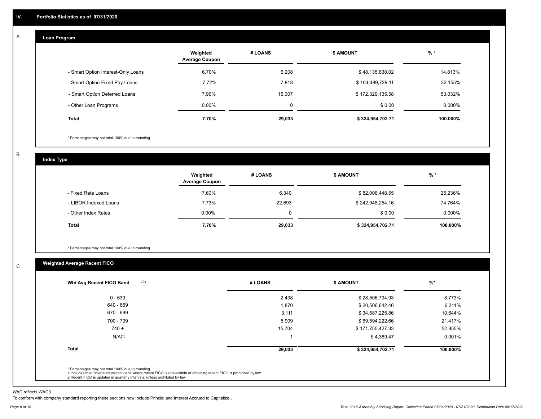#### **Loan Program**  A

|                                    | Weighted<br><b>Average Coupon</b> | # LOANS     | <b>\$ AMOUNT</b> | $%$ *    |
|------------------------------------|-----------------------------------|-------------|------------------|----------|
| - Smart Option Interest-Only Loans | 6.70%                             | 6,208       | \$48,135,838.02  | 14.813%  |
| - Smart Option Fixed Pay Loans     | 7.72%                             | 7,818       | \$104,489,729.11 | 32.155%  |
| - Smart Option Deferred Loans      | 7.96%                             | 15,007      | \$172,329,135.58 | 53.032%  |
| - Other Loan Programs              | $0.00\%$                          | $\mathbf 0$ | \$0.00           | 0.000%   |
| <b>Total</b>                       | 7.70%                             | 29,033      | \$324,954,702.71 | 100.000% |

\* Percentages may not total 100% due to rounding

B

C

**Index Type**

|                       | Weighted<br><b>Average Coupon</b> | # LOANS | <b>\$ AMOUNT</b> | $%$ *    |
|-----------------------|-----------------------------------|---------|------------------|----------|
| - Fixed Rate Loans    | 7.60%                             | 6,340   | \$82,006,448.55  | 25.236%  |
| - LIBOR Indexed Loans | 7.73%                             | 22,693  | \$242,948,254.16 | 74.764%  |
| - Other Index Rates   | $0.00\%$                          |         | \$0.00           | 0.000%   |
| Total                 | 7.70%                             | 29,033  | \$324,954,702.71 | 100.000% |

\* Percentages may not total 100% due to rounding

## **Weighted Average Recent FICO**

| (2)<br>Wtd Avg Recent FICO Band | # LOANS | <b>S AMOUNT</b>  | $%$ *    |
|---------------------------------|---------|------------------|----------|
| $0 - 639$                       | 2,438   | \$28,506,794.93  | 8.773%   |
| 640 - 669                       | 1,870   | \$20,506,642.46  | 6.311%   |
| 670 - 699                       | 3,111   | \$34,587,225.86  | 10.644%  |
| 700 - 739                       | 5,909   | \$69,594,222.66  | 21.417%  |
| $740 +$                         | 15,704  | \$171,755,427.33 | 52.855%  |
| N/A <sup>(1)</sup>              |         | \$4,389.47       | 0.001%   |
| <b>Total</b>                    | 29,033  | \$324,954,702.71 | 100.000% |

WAC reflects WAC3

To conform with company standard reporting these sections now include Princial and Interest Accrued to Capitalize .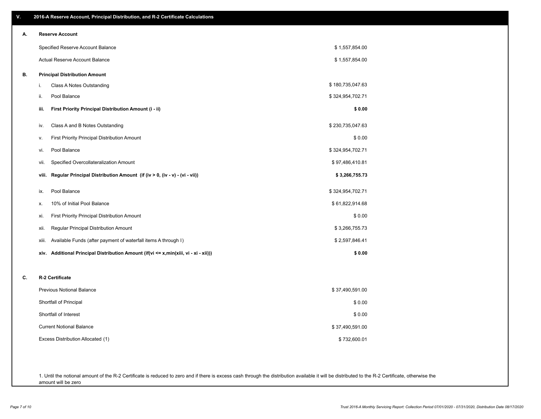| V. | 2016-A Reserve Account, Principal Distribution, and R-2 Certificate Calculations        |                  |
|----|-----------------------------------------------------------------------------------------|------------------|
| А. | <b>Reserve Account</b>                                                                  |                  |
|    | Specified Reserve Account Balance                                                       | \$1,557,854.00   |
|    | Actual Reserve Account Balance                                                          | \$1,557,854.00   |
| В. | <b>Principal Distribution Amount</b>                                                    |                  |
|    | i.<br>Class A Notes Outstanding                                                         | \$180,735,047.63 |
|    | Pool Balance<br>ii.                                                                     | \$324,954,702.71 |
|    | First Priority Principal Distribution Amount (i - ii)<br>iii.                           | \$0.00           |
|    | Class A and B Notes Outstanding<br>iv.                                                  | \$230,735,047.63 |
|    | <b>First Priority Principal Distribution Amount</b><br>v.                               | \$0.00           |
|    | Pool Balance<br>vi.                                                                     | \$324,954,702.71 |
|    | Specified Overcollateralization Amount<br>vii.                                          | \$97,486,410.81  |
|    | Regular Principal Distribution Amount (if (iv > 0, (iv - v) - (vi - vii))<br>viii.      | \$3,266,755.73   |
|    | Pool Balance<br>ix.                                                                     | \$324,954,702.71 |
|    | 10% of Initial Pool Balance<br>х.                                                       | \$61,822,914.68  |
|    | First Priority Principal Distribution Amount<br>xi.                                     | \$0.00           |
|    | Regular Principal Distribution Amount<br>xii.                                           | \$3,266,755.73   |
|    | Available Funds (after payment of waterfall items A through I)<br>xiii.                 | \$2,597,846.41   |
|    | Additional Principal Distribution Amount (if(vi <= x,min(xiii, vi - xi - xii)))<br>xiv. | \$0.00           |
| c. | R-2 Certificate                                                                         |                  |
|    | Previous Notional Balance                                                               | \$37,490,591.00  |
|    | Shortfall of Principal                                                                  | \$0.00           |
|    | Shortfall of Interest                                                                   | \$0.00           |
|    | <b>Current Notional Balance</b>                                                         | \$37,490,591.00  |
|    | Excess Distribution Allocated (1)                                                       | \$732,600.01     |
|    |                                                                                         |                  |
|    |                                                                                         |                  |

1. Until the notional amount of the R-2 Certificate is reduced to zero and if there is excess cash through the distribution available it will be distributed to the R-2 Certificate, otherwise the amount will be zero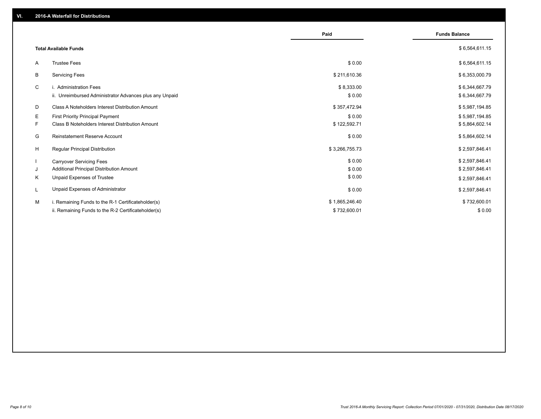|                                                               | Paid           | <b>Funds Balance</b> |
|---------------------------------------------------------------|----------------|----------------------|
| <b>Total Available Funds</b>                                  |                | \$6,564,611.15       |
| <b>Trustee Fees</b><br>A                                      | \$0.00         | \$6,564,611.15       |
| B<br><b>Servicing Fees</b>                                    | \$211,610.36   | \$6,353,000.79       |
| C<br>i. Administration Fees                                   | \$8,333.00     | \$6,344,667.79       |
| ii. Unreimbursed Administrator Advances plus any Unpaid       | \$0.00         | \$6,344,667.79       |
| D<br>Class A Noteholders Interest Distribution Amount         | \$357,472.94   | \$5,987,194.85       |
| E.<br><b>First Priority Principal Payment</b>                 | \$0.00         | \$5,987,194.85       |
| F.<br><b>Class B Noteholders Interest Distribution Amount</b> | \$122,592.71   | \$5,864,602.14       |
| G<br><b>Reinstatement Reserve Account</b>                     | \$0.00         | \$5,864,602.14       |
| H<br><b>Regular Principal Distribution</b>                    | \$3,266,755.73 | \$2,597,846.41       |
| $\mathbf{I}$<br><b>Carryover Servicing Fees</b>               | \$0.00         | \$2,597,846.41       |
| Additional Principal Distribution Amount<br>J                 | \$0.00         | \$2,597,846.41       |
| Κ<br>Unpaid Expenses of Trustee                               | \$0.00         | \$2,597,846.41       |
| Unpaid Expenses of Administrator<br>L                         | \$0.00         | \$2,597,846.41       |
| М<br>i. Remaining Funds to the R-1 Certificateholder(s)       | \$1,865,246.40 | \$732,600.01         |
| ii. Remaining Funds to the R-2 Certificateholder(s)           | \$732,600.01   | \$0.00               |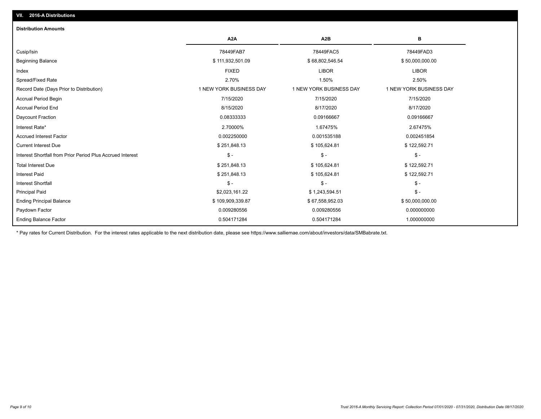## Paydown Factor 0.009280556 0.009280556 0.000000000 Ending Principal Balance \$ 109,909,339.87 \$ 67,558,952.03 \$ 67,558,952.03 \$ 50,000,000.00 Principal Paid \$2,023,161.22 \$ 1,243,594.51 \$ - Interest Shortfall \$ - \$ - \$ - Interest Paid \$ 251,848.13 \$ 105,624.81 \$ 122,592.71 Total Interest Due \$ 251,848.13 \$ 105,624.81 \$ 122,592.71 Interest Shortfall from Prior Period Plus Accrued Interest \$ - \$ - \$ - Current Interest Due \$ 251,848.13 \$ 105,624.81 \$ 122,592.71 Accrued Interest Factor 0.002250000 0.001535188 0.002451854 Interest Rate\* 2.70000% 1.67475% 2.67475% Daycount Fraction 0.08333333 0.09166667 0.09166667 Accrual Period End 8/15/2020 8/17/2020 8/17/2020 Accrual Period Begin 7/15/2020 7/15/2020 7/15/2020 Record Date (Days Prior to Distribution) 1 1 NEW YORK BUSINESS DAY 1 NEW YORK BUSINESS DAY 1 NEW YORK BUSINESS DAY Spread/Fixed Rate 2.70% 1.50% 2.50% Index FIXED LIBOR LIBOR Beginning Balance \$ 50,000,000.00 \$ \$ 50,000,000.00 \$ \$ 111,932,501.09 \$ \$ 68,802,546.54 \$ \$ \$ \$ 50,000,000.00 Cusip/Isin 78449FAB7 78449FAC5 78449FAD3 **A2A A2B B Distribution Amounts VII. 2016-A Distributions**

0.504171284 0.504171284 1.000000000

\* Pay rates for Current Distribution. For the interest rates applicable to the next distribution date, please see https://www.salliemae.com/about/investors/data/SMBabrate.txt.

Ending Balance Factor